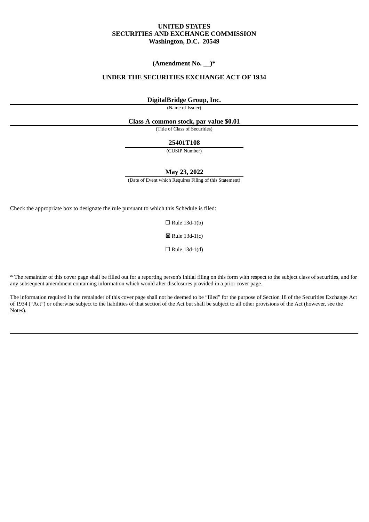# **UNITED STATES SECURITIES AND EXCHANGE COMMISSION Washington, D.C. 20549**

# **(Amendment No. \_\_)\***

# **UNDER THE SECURITIES EXCHANGE ACT OF 1934**

# **DigitalBridge Group, Inc.**

(Name of Issuer)

## **Class A common stock, par value \$0.01**

(Title of Class of Securities)

#### **25401T108**

(CUSIP Number)

#### **May 23, 2022**

(Date of Event which Requires Filing of this Statement)

Check the appropriate box to designate the rule pursuant to which this Schedule is filed:

 $\Box$  Rule 13d-1(b)

☒ Rule 13d-1(c)

 $\Box$  Rule 13d-1(d)

\* The remainder of this cover page shall be filled out for a reporting person's initial filing on this form with respect to the subject class of securities, and for any subsequent amendment containing information which would alter disclosures provided in a prior cover page.

The information required in the remainder of this cover page shall not be deemed to be "filed" for the purpose of Section 18 of the Securities Exchange Act of 1934 ("Act") or otherwise subject to the liabilities of that section of the Act but shall be subject to all other provisions of the Act (however, see the Notes).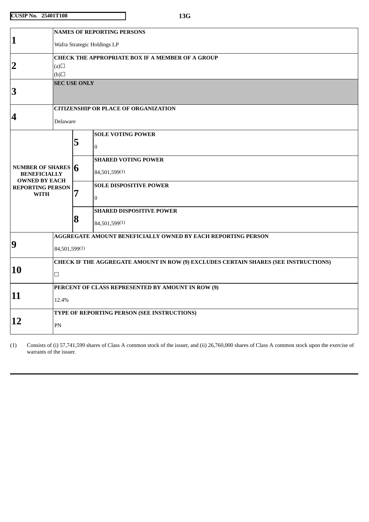|                                                                     | <b>NAMES OF REPORTING PERSONS</b>                                                   |                                                   |                                 |  |  |
|---------------------------------------------------------------------|-------------------------------------------------------------------------------------|---------------------------------------------------|---------------------------------|--|--|
| $\mathbf{1}$                                                        | Wafra Strategic Holdings LP                                                         |                                                   |                                 |  |  |
|                                                                     | CHECK THE APPROPRIATE BOX IF A MEMBER OF A GROUP                                    |                                                   |                                 |  |  |
| $\overline{2}$                                                      | (a)                                                                                 |                                                   |                                 |  |  |
|                                                                     | $\Box$ (d)                                                                          |                                                   |                                 |  |  |
| 3                                                                   | <b>SEC USE ONLY</b>                                                                 |                                                   |                                 |  |  |
|                                                                     | <b>CITIZENSHIP OR PLACE OF ORGANIZATION</b>                                         |                                                   |                                 |  |  |
| 4                                                                   | Delaware                                                                            |                                                   |                                 |  |  |
|                                                                     |                                                                                     |                                                   | <b>SOLE VOTING POWER</b>        |  |  |
|                                                                     |                                                                                     | 5                                                 | $\Omega$                        |  |  |
|                                                                     |                                                                                     |                                                   | <b>SHARED VOTING POWER</b>      |  |  |
| NUMBER OF SHARES $6$<br><b>BENEFICIALLY</b><br><b>OWNED BY EACH</b> |                                                                                     |                                                   | 84,501,599(1)                   |  |  |
| <b>REPORTING PERSON</b>                                             |                                                                                     |                                                   | <b>SOLE DISPOSITIVE POWER</b>   |  |  |
| <b>WITH</b>                                                         |                                                                                     | 7                                                 | $\Omega$                        |  |  |
|                                                                     |                                                                                     |                                                   | <b>SHARED DISPOSITIVE POWER</b> |  |  |
|                                                                     |                                                                                     | 8                                                 | 84,501,599(1)                   |  |  |
|                                                                     | AGGREGATE AMOUNT BENEFICIALLY OWNED BY EACH REPORTING PERSON                        |                                                   |                                 |  |  |
| $\boldsymbol{9}$                                                    | 84,501,599(1)                                                                       |                                                   |                                 |  |  |
|                                                                     | CHECK IF THE AGGREGATE AMOUNT IN ROW (9) EXCLUDES CERTAIN SHARES (SEE INSTRUCTIONS) |                                                   |                                 |  |  |
| 10                                                                  | $\Box$                                                                              |                                                   |                                 |  |  |
|                                                                     |                                                                                     | PERCENT OF CLASS REPRESENTED BY AMOUNT IN ROW (9) |                                 |  |  |
| 11                                                                  | 12.4%                                                                               |                                                   |                                 |  |  |
|                                                                     | TYPE OF REPORTING PERSON (SEE INSTRUCTIONS)                                         |                                                   |                                 |  |  |
| 12                                                                  | PN                                                                                  |                                                   |                                 |  |  |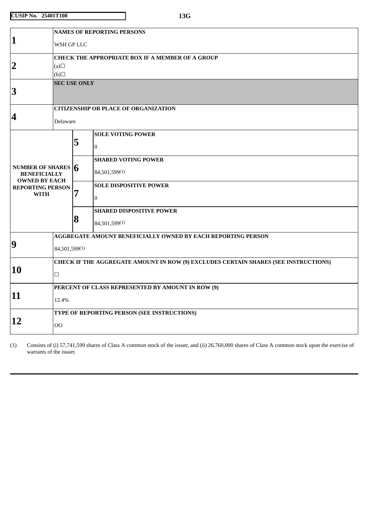|                                                                                 | <b>NAMES OF REPORTING PERSONS</b>                                                   |   |                                 |  |  |
|---------------------------------------------------------------------------------|-------------------------------------------------------------------------------------|---|---------------------------------|--|--|
| 1                                                                               | WSH GP LLC                                                                          |   |                                 |  |  |
|                                                                                 | <b>CHECK THE APPROPRIATE BOX IF A MEMBER OF A GROUP</b>                             |   |                                 |  |  |
| $\overline{2}$                                                                  | (a)                                                                                 |   |                                 |  |  |
|                                                                                 | (b)                                                                                 |   |                                 |  |  |
| <b>SEC USE ONLY</b><br>$\bf{3}$                                                 |                                                                                     |   |                                 |  |  |
|                                                                                 | <b>CITIZENSHIP OR PLACE OF ORGANIZATION</b>                                         |   |                                 |  |  |
| $\overline{\mathbf{4}}$                                                         | Delaware                                                                            |   |                                 |  |  |
|                                                                                 |                                                                                     |   | <b>SOLE VOTING POWER</b>        |  |  |
|                                                                                 |                                                                                     | 5 | $\overline{0}$                  |  |  |
|                                                                                 |                                                                                     |   | <b>SHARED VOTING POWER</b>      |  |  |
| NUMBER OF SHARES $\vert 6 \vert$<br><b>BENEFICIALLY</b><br><b>OWNED BY EACH</b> |                                                                                     |   | 84,501,599(1)                   |  |  |
| <b>REPORTING PERSON</b>                                                         |                                                                                     |   | <b>SOLE DISPOSITIVE POWER</b>   |  |  |
| <b>WITH</b>                                                                     |                                                                                     | 7 | $\overline{0}$                  |  |  |
|                                                                                 |                                                                                     |   | <b>SHARED DISPOSITIVE POWER</b> |  |  |
|                                                                                 |                                                                                     | 8 | 84,501,599(1)                   |  |  |
|                                                                                 | AGGREGATE AMOUNT BENEFICIALLY OWNED BY EACH REPORTING PERSON                        |   |                                 |  |  |
| 9                                                                               | 84,501,599(1)                                                                       |   |                                 |  |  |
| 10                                                                              | CHECK IF THE AGGREGATE AMOUNT IN ROW (9) EXCLUDES CERTAIN SHARES (SEE INSTRUCTIONS) |   |                                 |  |  |
|                                                                                 | $\Box$                                                                              |   |                                 |  |  |
|                                                                                 | PERCENT OF CLASS REPRESENTED BY AMOUNT IN ROW (9)                                   |   |                                 |  |  |
| 11                                                                              | 12.4%                                                                               |   |                                 |  |  |
|                                                                                 | TYPE OF REPORTING PERSON (SEE INSTRUCTIONS)                                         |   |                                 |  |  |
| 12                                                                              | O <sub>O</sub>                                                                      |   |                                 |  |  |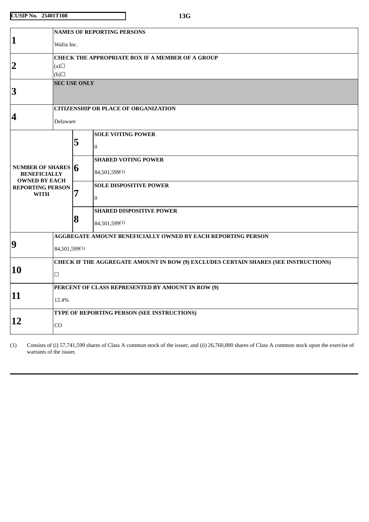|                                                                           | <b>NAMES OF REPORTING PERSONS</b>                                                   |   |                                                              |  |  |
|---------------------------------------------------------------------------|-------------------------------------------------------------------------------------|---|--------------------------------------------------------------|--|--|
| 1                                                                         | Wafra Inc.                                                                          |   |                                                              |  |  |
|                                                                           | <b>CHECK THE APPROPRIATE BOX IF A MEMBER OF A GROUP</b>                             |   |                                                              |  |  |
| $\overline{2}$                                                            | (a)                                                                                 |   |                                                              |  |  |
|                                                                           | (b)                                                                                 |   |                                                              |  |  |
| $\bf{3}$                                                                  | <b>SEC USE ONLY</b>                                                                 |   |                                                              |  |  |
|                                                                           |                                                                                     |   |                                                              |  |  |
|                                                                           | <b>CITIZENSHIP OR PLACE OF ORGANIZATION</b>                                         |   |                                                              |  |  |
| 4                                                                         | Delaware                                                                            |   |                                                              |  |  |
|                                                                           |                                                                                     |   | <b>SOLE VOTING POWER</b>                                     |  |  |
|                                                                           |                                                                                     | 5 | $\overline{0}$                                               |  |  |
|                                                                           |                                                                                     |   | <b>SHARED VOTING POWER</b>                                   |  |  |
| <b>NUMBER OF SHARES <math>\vert 6 \vert</math></b><br><b>BENEFICIALLY</b> |                                                                                     |   | 84,501,599(1)                                                |  |  |
| <b>OWNED BY EACH</b>                                                      |                                                                                     |   | <b>SOLE DISPOSITIVE POWER</b>                                |  |  |
| <b>REPORTING PERSON</b><br><b>WITH</b>                                    |                                                                                     | 7 |                                                              |  |  |
|                                                                           |                                                                                     |   | $\overline{0}$                                               |  |  |
|                                                                           |                                                                                     |   | <b>SHARED DISPOSITIVE POWER</b>                              |  |  |
|                                                                           |                                                                                     | 8 | 84,501,599(1)                                                |  |  |
|                                                                           |                                                                                     |   | AGGREGATE AMOUNT BENEFICIALLY OWNED BY EACH REPORTING PERSON |  |  |
| 9                                                                         | 84,501,599(1)                                                                       |   |                                                              |  |  |
|                                                                           | CHECK IF THE AGGREGATE AMOUNT IN ROW (9) EXCLUDES CERTAIN SHARES (SEE INSTRUCTIONS) |   |                                                              |  |  |
| 10                                                                        | $\Box$                                                                              |   |                                                              |  |  |
|                                                                           | PERCENT OF CLASS REPRESENTED BY AMOUNT IN ROW (9)                                   |   |                                                              |  |  |
| 11                                                                        | 12.4%                                                                               |   |                                                              |  |  |
|                                                                           | TYPE OF REPORTING PERSON (SEE INSTRUCTIONS)                                         |   |                                                              |  |  |
| 12                                                                        | CO                                                                                  |   |                                                              |  |  |
|                                                                           |                                                                                     |   |                                                              |  |  |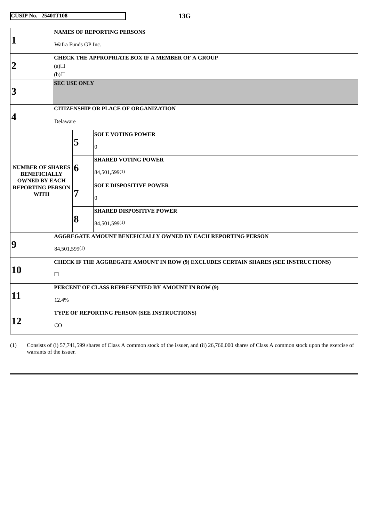|                                                                      | <b>NAMES OF REPORTING PERSONS</b>                                                   |   |                                 |  |  |
|----------------------------------------------------------------------|-------------------------------------------------------------------------------------|---|---------------------------------|--|--|
| $\mathbf{1}$                                                         | Wafra Funds GP Inc.                                                                 |   |                                 |  |  |
|                                                                      | <b>CHECK THE APPROPRIATE BOX IF A MEMBER OF A GROUP</b>                             |   |                                 |  |  |
| $\overline{2}$                                                       | (a)                                                                                 |   |                                 |  |  |
|                                                                      | (b)                                                                                 |   |                                 |  |  |
| 3                                                                    | <b>SEC USE ONLY</b>                                                                 |   |                                 |  |  |
|                                                                      | <b>CITIZENSHIP OR PLACE OF ORGANIZATION</b>                                         |   |                                 |  |  |
| $\overline{\mathbf{4}}$                                              | Delaware                                                                            |   |                                 |  |  |
|                                                                      |                                                                                     |   | <b>SOLE VOTING POWER</b>        |  |  |
|                                                                      |                                                                                     | 5 | $\Omega$                        |  |  |
|                                                                      |                                                                                     |   | <b>SHARED VOTING POWER</b>      |  |  |
| NUMBER OF SHARES $ 6$<br><b>BENEFICIALLY</b><br><b>OWNED BY EACH</b> |                                                                                     |   | 84,501,599(1)                   |  |  |
| <b>REPORTING PERSON</b>                                              |                                                                                     |   | <b>SOLE DISPOSITIVE POWER</b>   |  |  |
| <b>WITH</b>                                                          |                                                                                     | 7 | $\overline{0}$                  |  |  |
|                                                                      |                                                                                     |   | <b>SHARED DISPOSITIVE POWER</b> |  |  |
|                                                                      |                                                                                     | 8 | 84,501,599(1)                   |  |  |
|                                                                      | AGGREGATE AMOUNT BENEFICIALLY OWNED BY EACH REPORTING PERSON                        |   |                                 |  |  |
| $\boldsymbol{9}$                                                     | 84,501,599(1)                                                                       |   |                                 |  |  |
|                                                                      | CHECK IF THE AGGREGATE AMOUNT IN ROW (9) EXCLUDES CERTAIN SHARES (SEE INSTRUCTIONS) |   |                                 |  |  |
| 10                                                                   | $\Box$                                                                              |   |                                 |  |  |
|                                                                      | PERCENT OF CLASS REPRESENTED BY AMOUNT IN ROW (9)                                   |   |                                 |  |  |
| 11                                                                   | 12.4%                                                                               |   |                                 |  |  |
|                                                                      | TYPE OF REPORTING PERSON (SEE INSTRUCTIONS)                                         |   |                                 |  |  |
| 12                                                                   | CO                                                                                  |   |                                 |  |  |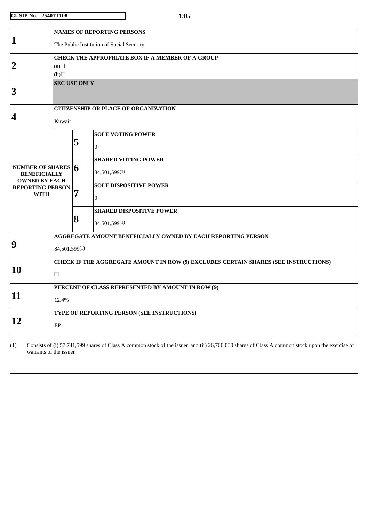| 1           |                                                 | <b>NAMES OF REPORTING PERSONS</b>                                                   |   |                                                              |  |  |
|-------------|-------------------------------------------------|-------------------------------------------------------------------------------------|---|--------------------------------------------------------------|--|--|
|             |                                                 | The Public Institution of Social Security                                           |   |                                                              |  |  |
|             |                                                 | <b>CHECK THE APPROPRIATE BOX IF A MEMBER OF A GROUP</b>                             |   |                                                              |  |  |
|             | $\overline{2}$                                  | (a)                                                                                 |   |                                                              |  |  |
|             |                                                 | (b)                                                                                 |   |                                                              |  |  |
|             | $\bf{3}$                                        | <b>SEC USE ONLY</b>                                                                 |   |                                                              |  |  |
|             |                                                 |                                                                                     |   |                                                              |  |  |
|             |                                                 | <b>CITIZENSHIP OR PLACE OF ORGANIZATION</b>                                         |   |                                                              |  |  |
| 4           |                                                 | Kuwait                                                                              |   |                                                              |  |  |
|             |                                                 |                                                                                     |   | <b>SOLE VOTING POWER</b>                                     |  |  |
|             |                                                 |                                                                                     | 5 | $\overline{0}$                                               |  |  |
|             |                                                 |                                                                                     |   | <b>SHARED VOTING POWER</b>                                   |  |  |
|             | NUMBER OF SHARES $6$<br><b>BENEFICIALLY</b>     |                                                                                     |   | 84,501,599(1)                                                |  |  |
|             | <b>OWNED BY EACH</b><br><b>REPORTING PERSON</b> |                                                                                     |   | <b>SOLE DISPOSITIVE POWER</b>                                |  |  |
| <b>WITH</b> |                                                 |                                                                                     | 7 | $\overline{0}$                                               |  |  |
|             |                                                 |                                                                                     |   | <b>SHARED DISPOSITIVE POWER</b>                              |  |  |
|             |                                                 |                                                                                     | 8 | 84,501,599(1)                                                |  |  |
|             |                                                 |                                                                                     |   | AGGREGATE AMOUNT BENEFICIALLY OWNED BY EACH REPORTING PERSON |  |  |
| 9           |                                                 | 84,501,599(1)                                                                       |   |                                                              |  |  |
|             |                                                 | CHECK IF THE AGGREGATE AMOUNT IN ROW (9) EXCLUDES CERTAIN SHARES (SEE INSTRUCTIONS) |   |                                                              |  |  |
| 10          |                                                 | $\Box$                                                                              |   |                                                              |  |  |
|             |                                                 | PERCENT OF CLASS REPRESENTED BY AMOUNT IN ROW (9)                                   |   |                                                              |  |  |
| 11          |                                                 | 12.4%                                                                               |   |                                                              |  |  |
|             |                                                 | TYPE OF REPORTING PERSON (SEE INSTRUCTIONS)                                         |   |                                                              |  |  |
| 12          |                                                 | EP                                                                                  |   |                                                              |  |  |
|             |                                                 |                                                                                     |   |                                                              |  |  |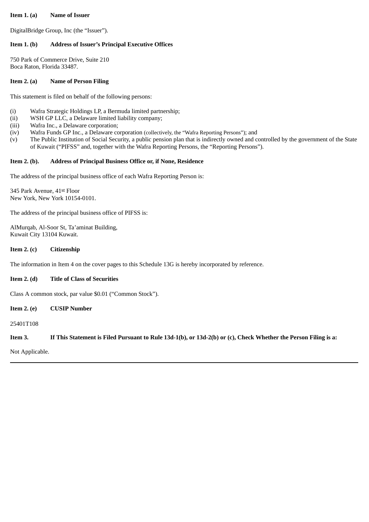## **Item 1. (a) Name of Issuer**

DigitalBridge Group, Inc (the "Issuer").

# **Item 1. (b) Address of Issuer's Principal Executive Offices**

750 Park of Commerce Drive, Suite 210 Boca Raton, Florida 33487.

## **Item 2. (a) Name of Person Filing**

This statement is filed on behalf of the following persons:

- (i) Wafra Strategic Holdings LP, a Bermuda limited partnership;
- (ii) WSH GP LLC, a Delaware limited liability company;
- (iii) Wafra Inc., a Delaware corporation;
- (iv) Wafra Funds GP Inc., a Delaware corporation (collectively, the "Wafra Reporting Persons"); and
- (v) The Public Institution of Social Security, a public pension plan that is indirectly owned and controlled by the government of the State of Kuwait ("PIFSS" and, together with the Wafra Reporting Persons, the "Reporting Persons").

#### **Item 2. (b). Address of Principal Business Office or, if None, Residence**

The address of the principal business office of each Wafra Reporting Person is:

345 Park Avenue, 41st Floor New York, New York 10154-0101.

The address of the principal business office of PIFSS is:

AlMurqab, Al-Soor St, Ta'aminat Building, Kuwait City 13104 Kuwait.

## **Item 2. (c) Citizenship**

The information in Item 4 on the cover pages to this Schedule 13G is hereby incorporated by reference.

# **Item 2. (d) Title of Class of Securities**

Class A common stock, par value \$0.01 ("Common Stock").

**Item 2. (e) CUSIP Number**

25401T108

Item 3. If This Statement is Filed Pursuant to Rule 13d-1(b), or 13d-2(b) or (c), Check Whether the Person Filing is a:

Not Applicable.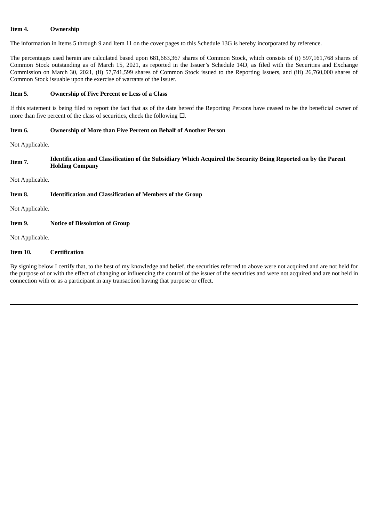# **Item 4. Ownership**

The information in Items 5 through 9 and Item 11 on the cover pages to this Schedule 13G is hereby incorporated by reference.

The percentages used herein are calculated based upon 681,663,367 shares of Common Stock, which consists of (i) 597,161,768 shares of Common Stock outstanding as of March 15, 2021, as reported in the Issuer's Schedule 14D, as filed with the Securities and Exchange Commission on March 30, 2021, (ii) 57,741,599 shares of Common Stock issued to the Reporting Issuers, and (iii) 26,760,000 shares of Common Stock issuable upon the exercise of warrants of the Issuer.

# **Item 5. Ownership of Five Percent or Less of a Class**

If this statement is being filed to report the fact that as of the date hereof the Reporting Persons have ceased to be the beneficial owner of more than five percent of the class of securities, check the following  $\Box$ .

# **Item 6. Ownership of More than Five Percent on Behalf of Another Person**

Not Applicable.

**Item 7. Identification and Classification of the Subsidiary Which Acquired the Security Being Reported on by the Parent Holding Company**

Not Applicable.

## **Item 8. Identification and Classification of Members of the Group**

Not Applicable.

# **Item 9. Notice of Dissolution of Group**

Not Applicable.

## **Item 10. Certification**

By signing below I certify that, to the best of my knowledge and belief, the securities referred to above were not acquired and are not held for the purpose of or with the effect of changing or influencing the control of the issuer of the securities and were not acquired and are not held in connection with or as a participant in any transaction having that purpose or effect.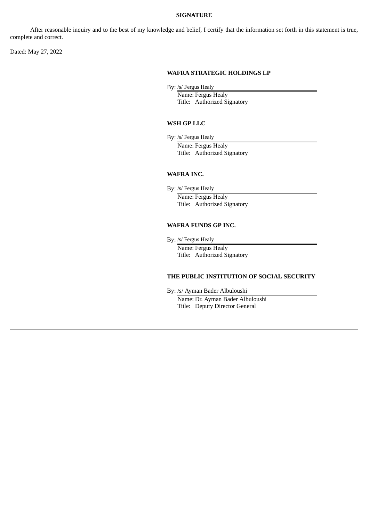#### **SIGNATURE**

After reasonable inquiry and to the best of my knowledge and belief, I certify that the information set forth in this statement is true, complete and correct.

Dated: May 27, 2022

# **WAFRA STRATEGIC HOLDINGS LP**

By: /s/ Fergus Healy

Name: Fergus Healy Title: Authorized Signatory

#### **WSH GP LLC**

By: /s/ Fergus Healy

Name: Fergus Healy Title: Authorized Signatory

## **WAFRA INC.**

By: /s/ Fergus Healy

Name: Fergus Healy Title: Authorized Signatory

## **WAFRA FUNDS GP INC.**

By: /s/ Fergus Healy

Name: Fergus Healy Title: Authorized Signatory

# **THE PUBLIC INSTITUTION OF SOCIAL SECURITY**

By: /s/ Ayman Bader Albuloushi

Name: Dr. Ayman Bader Albuloushi Title: Deputy Director General